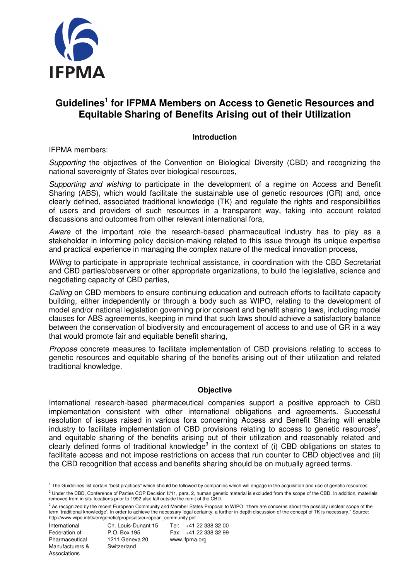

# **Guidelines<sup>1</sup> for IFPMA Members on Access to Genetic Resources and Equitable Sharing of Benefits Arising out of their Utilization**

#### **Introduction**

IFPMA members:

Supporting the objectives of the Convention on Biological Diversity (CBD) and recognizing the national sovereignty of States over biological resources,

Supporting and wishing to participate in the development of a regime on Access and Benefit Sharing (ABS), which would facilitate the sustainable use of genetic resources (GR) and, once clearly defined, associated traditional knowledge (TK) and regulate the rights and responsibilities of users and providers of such resources in a transparent way, taking into account related discussions and outcomes from other relevant international fora,

Aware of the important role the research-based pharmaceutical industry has to play as a stakeholder in informing policy decision-making related to this issue through its unique expertise and practical experience in managing the complex nature of the medical innovation process,

Willing to participate in appropriate technical assistance, in coordination with the CBD Secretariat and CBD parties/observers or other appropriate organizations, to build the legislative, science and negotiating capacity of CBD parties,

Calling on CBD members to ensure continuing education and outreach efforts to facilitate capacity building, either independently or through a body such as WIPO, relating to the development of model and/or national legislation governing prior consent and benefit sharing laws, including model clauses for ABS agreements, keeping in mind that such laws should achieve a satisfactory balance between the conservation of biodiversity and encouragement of access to and use of GR in a way that would promote fair and equitable benefit sharing,

Propose concrete measures to facilitate implementation of CBD provisions relating to access to genetic resources and equitable sharing of the benefits arising out of their utilization and related traditional knowledge.

#### **Objective**

International research-based pharmaceutical companies support a positive approach to CBD implementation consistent with other international obligations and agreements. Successful resolution of issues raised in various fora concerning Access and Benefit Sharing will enable industry to facilitate implementation of CBD provisions relating to access to genetic resources<sup>2</sup>, and equitable sharing of the benefits arising out of their utilization and reasonably related and clearly defined forms of traditional knowledge<sup>3</sup> in the context of (i) CBD obligations on states to facilitate access and not impose restrictions on access that run counter to CBD objectives and (ii) the CBD recognition that access and benefits sharing should be on mutually agreed terms.

 $^2$  Under the CBD, Conference of Parties COP Decision II/11, para. 2, human genetic material is excluded from the scope of the CBD. In addition, materials removed from in situ locations prior to 1992 also fall outside the remit of the CBD.

 $\overline{a}$ 

International Ch. Louis-Dunant 15 Tel: +41 22 338 32 00 Federation of P.O. Box 195 Fax: +41 22 338 32 99

<sup>&</sup>lt;sup>1</sup> The Guidelines list certain "best practices" which should be followed by companies which will engage in the acquisition and use of genetic resources.

<sup>&</sup>lt;sup>3</sup> As recognized by the recent European Community and Member States Proposal to WIPO: "there are concerns about the possibly unclear scope of the term 'traditional knowledge'. In order to achieve the necessary legal certainty, a further in-depth discussion of the concept of TK is necessary." Source: http://www.wipo.int/tk/en/genetic/proposals/european\_community.pdf